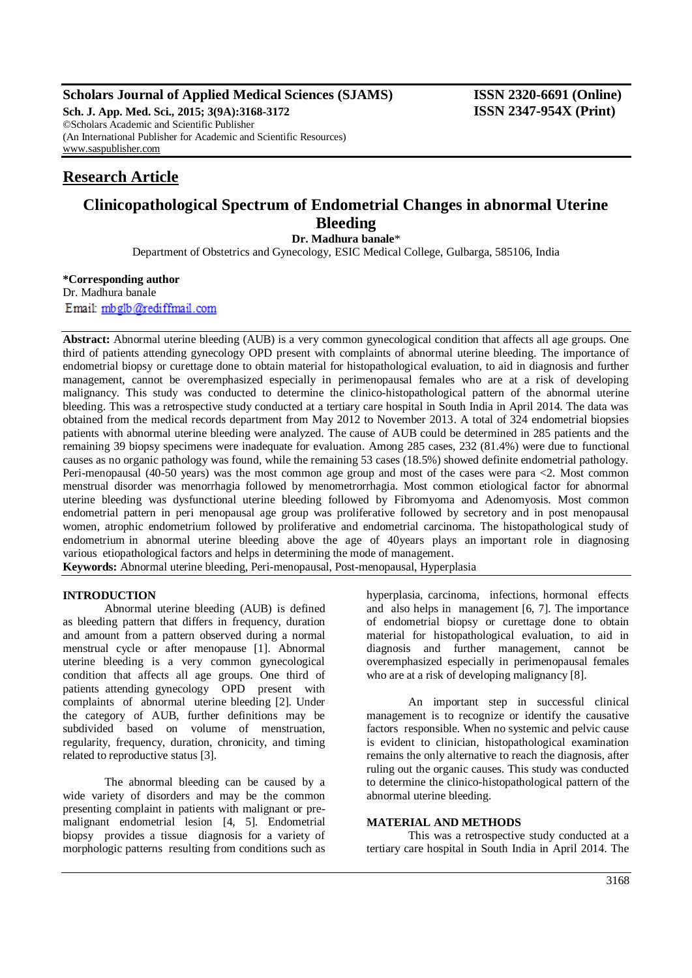# **Scholars Journal of Applied Medical Sciences (SJAMS) ISSN 2320-6691 (Online)**

**Sch. J. App. Med. Sci., 2015; 3(9A):3168-3172 ISSN 2347-954X (Print)** ©Scholars Academic and Scientific Publisher (An International Publisher for Academic and Scientific Resources) [www.saspublisher.com](http://www.saspublisher.com/)

# **Research Article**

# **Clinicopathological Spectrum of Endometrial Changes in abnormal Uterine Bleeding**

**Dr. Madhura banale**\*

Department of Obstetrics and Gynecology, ESIC Medical College, Gulbarga, 585106, India

**\*Corresponding author**

Dr. Madhura banale Email: mbglb@rediffmail.com

**Abstract:** Abnormal uterine bleeding (AUB) is a very common gynecological condition that affects all age groups. One third of patients attending gynecology OPD present with complaints of abnormal uterine bleeding. The importance of endometrial biopsy or curettage done to obtain material for histopathological evaluation, to aid in diagnosis and further management, cannot be overemphasized especially in perimenopausal females who are at a risk of developing malignancy. This study was conducted to determine the clinico-histopathological pattern of the abnormal uterine bleeding. This was a retrospective study conducted at a tertiary care hospital in South India in April 2014. The data was obtained from the medical records department from May 2012 to November 2013. A total of 324 endometrial biopsies patients with abnormal uterine bleeding were analyzed. The cause of AUB could be determined in 285 patients and the remaining 39 biopsy specimens were inadequate for evaluation. Among 285 cases, 232 (81.4%) were due to functional causes as no organic pathology was found, while the remaining 53 cases (18.5%) showed definite endometrial pathology. Peri-menopausal (40-50 years) was the most common age group and most of the cases were para <2. Most common menstrual disorder was menorrhagia followed by menometrorrhagia. Most common etiological factor for abnormal uterine bleeding was dysfunctional uterine bleeding followed by Fibromyoma and Adenomyosis. Most common endometrial pattern in peri menopausal age group was proliferative followed by secretory and in post menopausal women, atrophic endometrium followed by proliferative and endometrial carcinoma. The histopathological study of endometrium in abnormal uterine bleeding above the age of 40years plays an important role in diagnosing various etiopathological factors and helps in determining the mode of management. **Keywords:** Abnormal uterine bleeding, Peri-menopausal, Post-menopausal, Hyperplasia

## **INTRODUCTION**

Abnormal uterine bleeding (AUB) is defined as bleeding pattern that differs in frequency, duration and amount from a pattern observed during a normal menstrual cycle or after menopause [1]. Abnormal uterine bleeding is a very common gynecological condition that affects all age groups. One third of patients attending gynecology OPD present with complaints of abnormal uterine bleeding [2]. Under the category of AUB, further definitions may be subdivided based on volume of menstruation, regularity, frequency, duration, chronicity, and timing related to reproductive status [3].

The abnormal bleeding can be caused by a wide variety of disorders and may be the common presenting complaint in patients with malignant or premalignant endometrial lesion [4, 5]. Endometrial biopsy provides a tissue diagnosis for a variety of morphologic patterns resulting from conditions such as hyperplasia, carcinoma, infections, hormonal effects and also helps in management [6, 7]. The importance of endometrial biopsy or curettage done to obtain material for histopathological evaluation, to aid in diagnosis and further management, cannot be overemphasized especially in perimenopausal females who are at a risk of developing malignancy [8].

An important step in successful clinical management is to recognize or identify the causative factors responsible. When no systemic and pelvic cause is evident to clinician, histopathological examination remains the only alternative to reach the diagnosis, after ruling out the organic causes. This study was conducted to determine the clinico-histopathological pattern of the abnormal uterine bleeding.

#### **MATERIAL AND METHODS**

This was a retrospective study conducted at a tertiary care hospital in South India in April 2014. The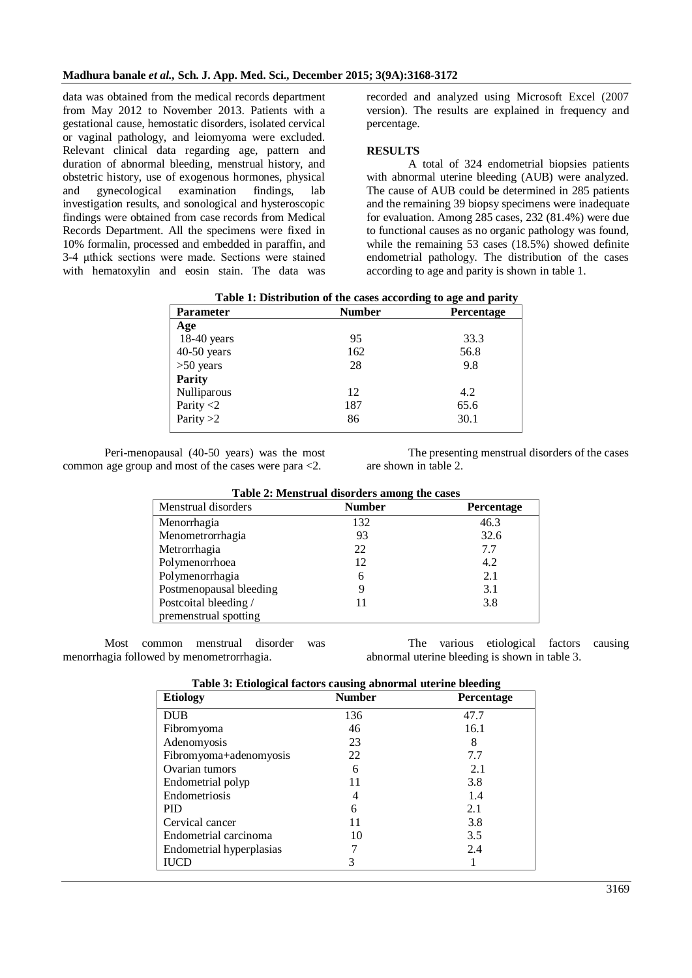data was obtained from the medical records department from May 2012 to November 2013. Patients with a gestational cause, hemostatic disorders, isolated cervical or vaginal pathology, and leiomyoma were excluded. Relevant clinical data regarding age, pattern and duration of abnormal bleeding, menstrual history, and obstetric history, use of exogenous hormones, physical and gynecological examination findings, lab investigation results, and sonological and hysteroscopic findings were obtained from case records from Medical Records Department. All the specimens were fixed in 10% formalin, processed and embedded in paraffin, and 3-4 μthick sections were made. Sections were stained with hematoxylin and eosin stain. The data was

recorded and analyzed using Microsoft Excel (2007 version). The results are explained in frequency and percentage.

# **RESULTS**

A total of 324 endometrial biopsies patients with abnormal uterine bleeding (AUB) were analyzed. The cause of AUB could be determined in 285 patients and the remaining 39 biopsy specimens were inadequate for evaluation. Among 285 cases, 232 (81.4%) were due to functional causes as no organic pathology was found, while the remaining 53 cases (18.5%) showed definite endometrial pathology. The distribution of the cases according to age and parity is shown in table 1.

| Parameter     | <b>Number</b> | Percentage |
|---------------|---------------|------------|
| Age           |               |            |
| $18-40$ years | 95            | 33.3       |
| $40-50$ years | 162           | 56.8       |
| $>50$ years   | 28            | 9.8        |
| <b>Parity</b> |               |            |
| Nulliparous   | 12            | 4.2        |
| Parity $<$ 2  | 187           | 65.6       |
| Parity $>2$   | 86            | 30.1       |
|               |               |            |

**Table 1: Distribution of the cases according to age and parity**

Peri-menopausal (40-50 years) was the most common age group and most of the cases were para <2.

The presenting menstrual disorders of the cases are shown in table 2.

| Table 2: Menstrual disorders among the cases |               |            |  |
|----------------------------------------------|---------------|------------|--|
| Menstrual disorders                          | <b>Number</b> | Percentage |  |
| Menorrhagia                                  | 132           | 46.3       |  |
| Menometrorrhagia                             | 93            | 32.6       |  |
| Metrorrhagia                                 | 22            | 7.7        |  |
| Polymenorrhoea                               | 12            | 4.2        |  |
| Polymenorrhagia                              | 6             | 2.1        |  |
| Postmenopausal bleeding                      |               | 3.1        |  |
| Postcoital bleeding /                        |               | 3.8        |  |
| premenstrual spotting                        |               |            |  |

Most common menstrual disorder was menorrhagia followed by menometrorrhagia.

The various etiological factors causing abnormal uterine bleeding is shown in table 3.

| Table 3: Etiological factors causing abnormal uterine bleeding |  |
|----------------------------------------------------------------|--|
|                                                                |  |

| Tubic of Euglisa nectors causing abnormar attributional<br><b>Etiology</b> | <b>Number</b> | Percentage |
|----------------------------------------------------------------------------|---------------|------------|
| <b>DUB</b>                                                                 | 136           | 47.7       |
| Fibromyoma                                                                 | 46            | 16.1       |
| Adenomyosis                                                                | 23            | 8          |
| Fibromyoma+adenomyosis                                                     | 22            | 7.7        |
| Ovarian tumors                                                             | 6             | 2.1        |
| Endometrial polyp                                                          |               | 3.8        |
| Endometriosis                                                              |               | 1.4        |
| <b>PID</b>                                                                 | 6             | 2.1        |
| Cervical cancer                                                            |               | 3.8        |
| Endometrial carcinoma                                                      | 10            | 3.5        |
| Endometrial hyperplasias                                                   |               | 2.4        |
| <b>IUCD</b>                                                                | 3             |            |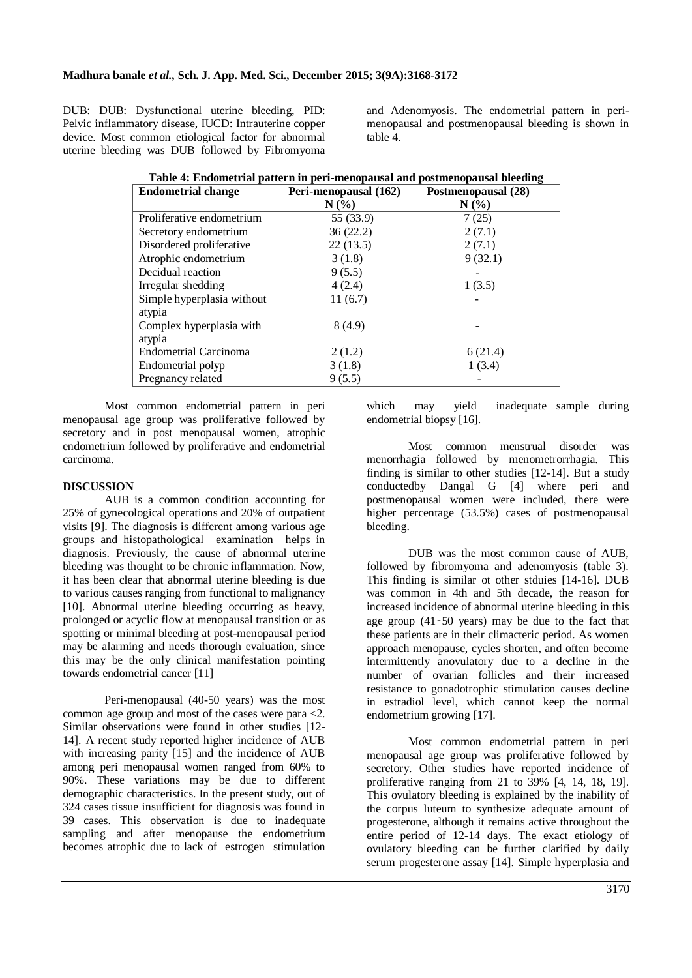DUB: DUB: Dysfunctional uterine bleeding, PID: Pelvic inflammatory disease, IUCD: Intrauterine copper device. Most common etiological factor for abnormal uterine bleeding was DUB followed by Fibromyoma and Adenomyosis. The endometrial pattern in perimenopausal and postmenopausal bleeding is shown in table 4.

| <b>Endometrial change</b>  | Peri-menopausal (162) | Postmenopausal (28) |
|----------------------------|-----------------------|---------------------|
|                            | $N(\%)$               | $N(\%)$             |
| Proliferative endometrium  | 55 (33.9)             | 7(25)               |
| Secretory endometrium      | 36(22.2)              | 2(7.1)              |
| Disordered proliferative   | 22(13.5)              | 2(7.1)              |
| Atrophic endometrium       | 3(1.8)                | 9(32.1)             |
| Decidual reaction          | 9(5.5)                |                     |
| Irregular shedding         | 4(2.4)                | 1(3.5)              |
| Simple hyperplasia without | 11(6.7)               |                     |
| atypia                     |                       |                     |
| Complex hyperplasia with   | 8(4.9)                |                     |
| atypia                     |                       |                     |
| Endometrial Carcinoma      | 2(1.2)                | 6(21.4)             |
| Endometrial polyp          | 3(1.8)                | 1(3.4)              |
| Pregnancy related          | 9(5.5)                |                     |

**Table 4: Endometrial pattern in peri-menopausal and postmenopausal bleeding**

Most common endometrial pattern in peri menopausal age group was proliferative followed by secretory and in post menopausal women, atrophic endometrium followed by proliferative and endometrial carcinoma.

#### **DISCUSSION**

AUB is a common condition accounting for 25% of gynecological operations and 20% of outpatient visits [9]. The diagnosis is different among various age groups and histopathological examination helps in diagnosis. Previously, the cause of abnormal uterine bleeding was thought to be chronic inflammation. Now, it has been clear that abnormal uterine bleeding is due to various causes ranging from functional to malignancy [10]. Abnormal uterine bleeding occurring as heavy, prolonged or acyclic flow at menopausal transition or as spotting or minimal bleeding at post-menopausal period may be alarming and needs thorough evaluation, since this may be the only clinical manifestation pointing towards endometrial cancer [11]

Peri-menopausal (40-50 years) was the most common age group and most of the cases were para <2. Similar observations were found in other studies [12- 14]. A recent study reported higher incidence of AUB with increasing parity [15] and the incidence of AUB among peri menopausal women ranged from 60% to 90%. These variations may be due to different demographic characteristics. In the present study, out of 324 cases tissue insufficient for diagnosis was found in 39 cases. This observation is due to inadequate sampling and after menopause the endometrium becomes atrophic due to lack of estrogen stimulation which may yield inadequate sample during endometrial biopsy [16].

Most common menstrual disorder was menorrhagia followed by menometrorrhagia. This finding is similar to other studies [12-14]. But a study conductedby Dangal G [4] where peri and postmenopausal women were included, there were higher percentage (53.5%) cases of postmenopausal bleeding.

DUB was the most common cause of AUB, followed by fibromyoma and adenomyosis (table 3). This finding is similar ot other stduies [14-16]. DUB was common in 4th and 5th decade, the reason for increased incidence of abnormal uterine bleeding in this age group (41‑50 years) may be due to the fact that these patients are in their climacteric period. As women approach menopause, cycles shorten, and often become intermittently anovulatory due to a decline in the number of ovarian follicles and their increased resistance to gonadotrophic stimulation causes decline in estradiol level, which cannot keep the normal endometrium growing [17].

Most common endometrial pattern in peri menopausal age group was proliferative followed by secretory. Other studies have reported incidence of proliferative ranging from 21 to 39% [4, 14, 18, 19]. This ovulatory bleeding is explained by the inability of the corpus luteum to synthesize adequate amount of progesterone, although it remains active throughout the entire period of 12-14 days. The exact etiology of ovulatory bleeding can be further clarified by daily serum progesterone assay [14]. Simple hyperplasia and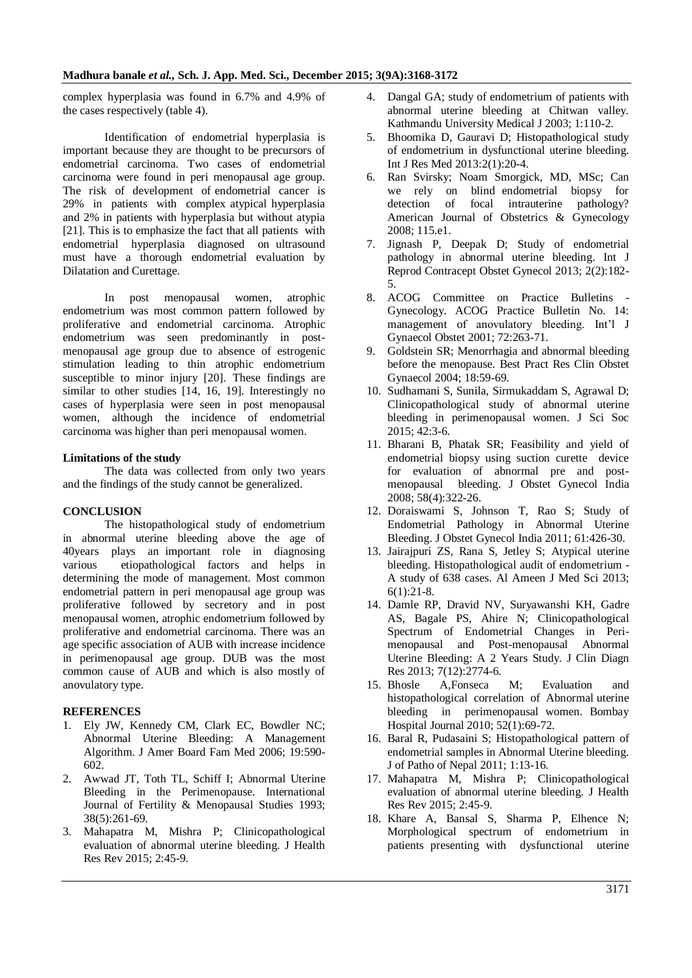complex hyperplasia was found in 6.7% and 4.9% of the cases respectively (table 4).

Identification of endometrial hyperplasia is important because they are thought to be precursors of endometrial carcinoma. Two cases of endometrial carcinoma were found in peri menopausal age group. The risk of development of endometrial cancer is 29% in patients with complex atypical hyperplasia and 2% in patients with hyperplasia but without atypia [21]. This is to emphasize the fact that all patients with endometrial hyperplasia diagnosed on ultrasound must have a thorough endometrial evaluation by Dilatation and Curettage.

In post menopausal women, atrophic endometrium was most common pattern followed by proliferative and endometrial carcinoma. Atrophic endometrium was seen predominantly in postmenopausal age group due to absence of estrogenic stimulation leading to thin atrophic endometrium susceptible to minor injury [20]. These findings are similar to other studies [14, 16, 19]. Interestingly no cases of hyperplasia were seen in post menopausal women, although the incidence of endometrial carcinoma was higher than peri menopausal women.

## **Limitations of the study**

The data was collected from only two years and the findings of the study cannot be generalized.

## **CONCLUSION**

The histopathological study of endometrium in abnormal uterine bleeding above the age of 40years plays an important role in diagnosing various etiopathological factors and helps in determining the mode of management. Most common endometrial pattern in peri menopausal age group was proliferative followed by secretory and in post menopausal women, atrophic endometrium followed by proliferative and endometrial carcinoma. There was an age specific association of AUB with increase incidence in perimenopausal age group. DUB was the most common cause of AUB and which is also mostly of anovulatory type.

## **REFERENCES**

- 1. Ely JW, Kennedy CM, Clark EC, Bowdler NC; Abnormal Uterine Bleeding: A Management Algorithm. J Amer Board Fam Med 2006; 19:590- 602.
- 2. Awwad JT, Toth TL, Schiff I; Abnormal Uterine Bleeding in the Perimenopause. International Journal of Fertility & Menopausal Studies 1993; 38(5):261-69.
- 3. Mahapatra M, Mishra P; Clinicopathological evaluation of abnormal uterine bleeding. J Health Res Rev 2015; 2:45-9.
- 4. Dangal GA; study of endometrium of patients with abnormal uterine bleeding at Chitwan valley. Kathmandu University Medical J 2003; 1:110-2.
- 5. Bhoomika D, Gauravi D; Histopathological study of endometrium in dysfunctional uterine bleeding. Int J Res Med 2013:2(1):20-4.
- 6. Ran Svirsky; Noam Smorgick, MD, MSc; Can we rely on blind endometrial biopsy for detection of focal intrauterine pathology? American Journal of Obstetrics & Gynecology 2008; 115.e1.
- 7. Jignash P, Deepak D; Study of endometrial pathology in abnormal uterine bleeding. Int J Reprod Contracept Obstet Gynecol 2013; 2(2):182- 5.
- 8. ACOG Committee on Practice Bulletins Gynecology. ACOG Practice Bulletin No. 14: management of anovulatory bleeding. Int'l J Gynaecol Obstet 2001; 72:263-71.
- 9. Goldstein SR; Menorrhagia and abnormal bleeding before the menopause. Best Pract Res Clin Obstet Gynaecol 2004; 18:59-69.
- 10. Sudhamani S, Sunila, Sirmukaddam S, Agrawal D; Clinicopathological study of abnormal uterine bleeding in perimenopausal women. J Sci Soc 2015; 42:3-6.
- 11. Bharani B, Phatak SR; Feasibility and yield of endometrial biopsy using suction curette device for evaluation of abnormal pre and postmenopausal bleeding. J Obstet Gynecol India 2008; 58(4):322-26.
- 12. Doraiswami S, Johnson T, Rao S; Study of Endometrial Pathology in Abnormal Uterine Bleeding. J Obstet Gynecol India 2011; 61:426-30.
- 13. Jairajpuri ZS, Rana S, Jetley S; Atypical uterine bleeding. Histopathological audit of endometrium - A study of 638 cases. Al Ameen J Med Sci 2013; 6(1):21-8.
- 14. Damle RP, Dravid NV, Suryawanshi KH, Gadre AS, Bagale PS, Ahire N; Clinicopathological Spectrum of Endometrial Changes in Perimenopausal and Post-menopausal Abnormal Uterine Bleeding: A 2 Years Study. J Clin Diagn Res 2013; 7(12):2774-6.
- 15. Bhosle A,Fonseca M; Evaluation and histopathological correlation of Abnormal uterine bleeding in perimenopausal women. Bombay Hospital Journal 2010; 52(1):69-72.
- 16. Baral R, Pudasaini S; Histopathological pattern of endometrial samples in Abnormal Uterine bleeding. J of Patho of Nepal 2011; 1:13-16.
- 17. Mahapatra M, Mishra P; Clinicopathological evaluation of abnormal uterine bleeding. J Health Res Rev 2015; 2:45-9.
- 18. Khare A, Bansal S, Sharma P, Elhence N; Morphological spectrum of endometrium in patients presenting with dysfunctional uterine